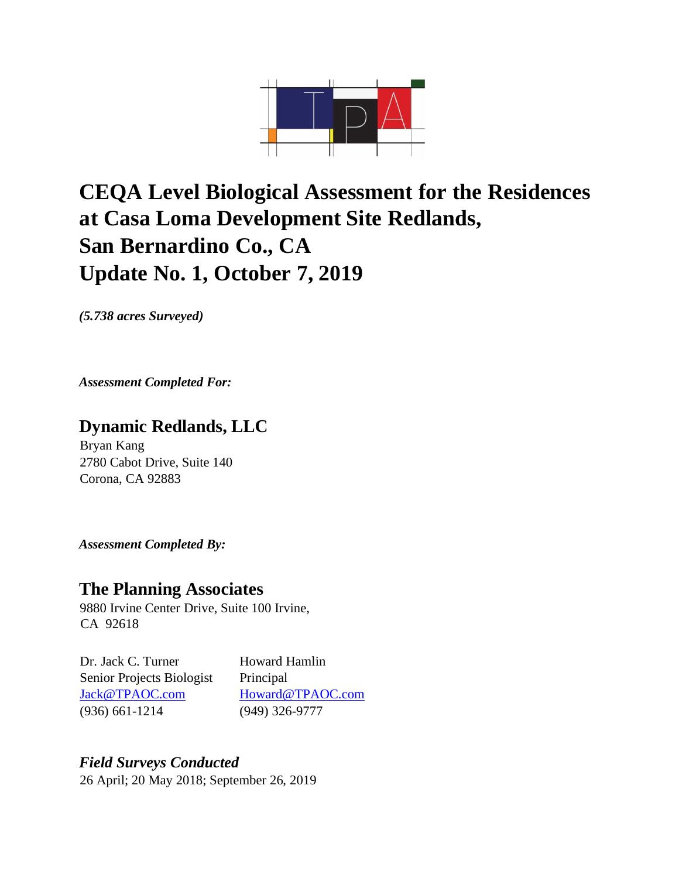

## **CEQA Level Biological Assessment for the Residences at Casa Loma Development Site Redlands, San Bernardino Co., CA Update No. 1, October 7, 2019**

*(5.738 acres Surveyed)* 

*Assessment Completed For:* 

## **Dynamic Redlands, LLC**

Bryan Kang 2780 Cabot Drive, Suite 140 Corona, CA 92883

*Assessment Completed By:* 

## **The Planning Associates**

9880 Irvine Center Drive, Suite 100 Irvine, CA 92618

Dr. Jack C. Turner Howard Hamlin Senior Projects Biologist Principal Jack@TPAOC.com Howard@TPAOC.com (936) 661-1214 (949) 326-9777

## *Field Surveys Conducted*  26 April; 20 May 2018; September 26, 2019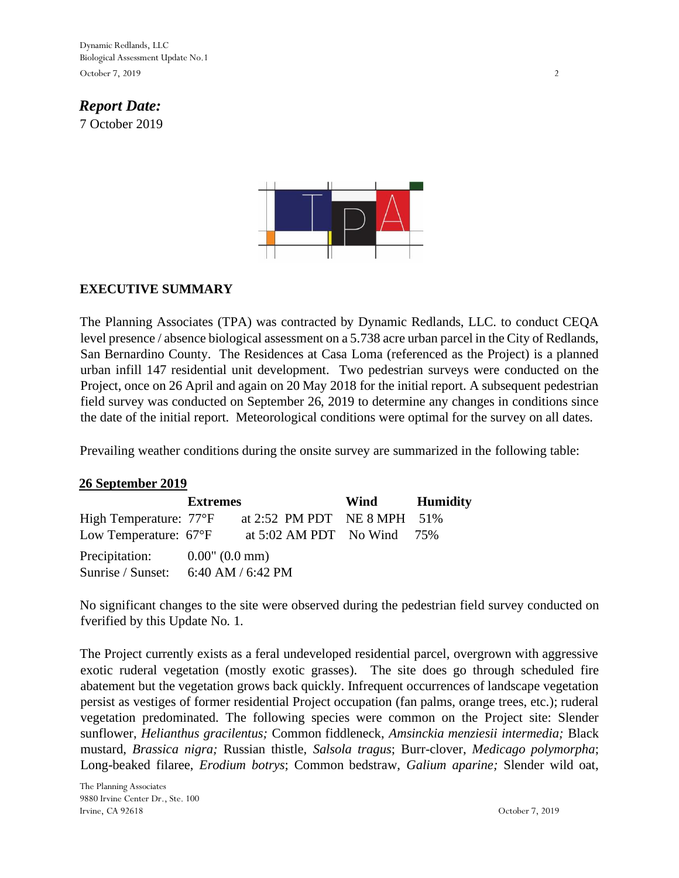Dynamic Redlands, LLC Biological Assessment Update No.1 October 7, 2019 2

## *Report Date:*  7 October 2019



## **EXECUTIVE SUMMARY**

The Planning Associates (TPA) was contracted by Dynamic Redlands, LLC. to conduct CEQA level presence / absence biological assessment on a 5.738 acre urban parcel in the City of Redlands, San Bernardino County. The Residences at Casa Loma (referenced as the Project) is a planned urban infill 147 residential unit development. Two pedestrian surveys were conducted on the Project, once on 26 April and again on 20 May 2018 for the initial report. A subsequent pedestrian field survey was conducted on September 26, 2019 to determine any changes in conditions since the date of the initial report. Meteorological conditions were optimal for the survey on all dates.

Prevailing weather conditions during the onsite survey are summarized in the following table:

#### **26 September 2019**

| <b>Extremes</b>                            |  | Wind                                    | <b>Humidity</b> |  |
|--------------------------------------------|--|-----------------------------------------|-----------------|--|
| High Temperature: 77°F                     |  | at 2:52 PM PDT NE 8 MPH 51%             |                 |  |
| Low Temperature: $67^{\circ}F$             |  | at $5:02 \text{ AM PDT}$ No Wind $75\%$ |                 |  |
| Precipitation: $0.00$ " $(0.0 \text{ mm})$ |  |                                         |                 |  |
| Sunrise / Sunset: $6:40$ AM / $6:42$ PM    |  |                                         |                 |  |

No significant changes to the site were observed during the pedestrian field survey conducted on fverified by this Update No. 1.

The Project currently exists as a feral undeveloped residential parcel, overgrown with aggressive exotic ruderal vegetation (mostly exotic grasses). The site does go through scheduled fire abatement but the vegetation grows back quickly. Infrequent occurrences of landscape vegetation persist as vestiges of former residential Project occupation (fan palms, orange trees, etc.); ruderal vegetation predominated. The following species were common on the Project site: Slender sunflower, *Helianthus gracilentus;* Common fiddleneck, *Amsinckia menziesii intermedia;* Black mustard, *Brassica nigra;* Russian thistle, *Salsola tragus*; Burr-clover, *Medicago polymorpha*; Long-beaked filaree, *Erodium botrys*; Common bedstraw, *Galium aparine;* Slender wild oat,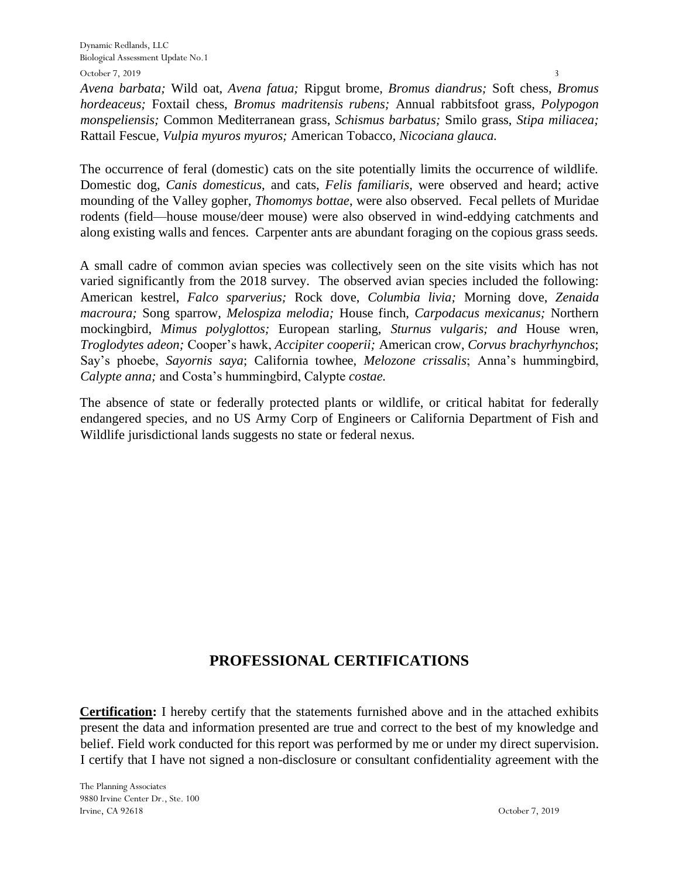October 7, 2019

*Avena barbata;* Wild oat, *Avena fatua;* Ripgut brome, *Bromus diandrus;* Soft chess, *Bromus hordeaceus;* Foxtail chess, *Bromus madritensis rubens;* Annual rabbitsfoot grass, *Polypogon monspeliensis;* Common Mediterranean grass, *Schismus barbatus;* Smilo grass, *Stipa miliacea;*  Rattail Fescue*, Vulpia myuros myuros;* American Tobacco*, Nicociana glauca.* 

The occurrence of feral (domestic) cats on the site potentially limits the occurrence of wildlife. Domestic dog, *Canis domesticus*, and cats, *Felis familiaris*, were observed and heard; active mounding of the Valley gopher, *Thomomys bottae*, were also observed. Fecal pellets of Muridae rodents (field—house mouse/deer mouse) were also observed in wind-eddying catchments and along existing walls and fences. Carpenter ants are abundant foraging on the copious grass seeds.

A small cadre of common avian species was collectively seen on the site visits which has not varied significantly from the 2018 survey. The observed avian species included the following: American kestrel, *Falco sparverius;* Rock dove, *Columbia livia;* Morning dove, *Zenaida macroura;* Song sparrow, *Melospiza melodia;* House finch, *Carpodacus mexicanus;* Northern mockingbird, *Mimus polyglottos;* European starling, *Sturnus vulgaris; and* House wren, *Troglodytes adeon;* Cooper's hawk, *Accipiter cooperii;* American crow, *Corvus brachyrhynchos*; Say's phoebe, *Sayornis saya*; California towhee, *Melozone crissalis*; Anna's hummingbird, *Calypte anna;* and Costa's hummingbird, Calypte *costae.*

The absence of state or federally protected plants or wildlife, or critical habitat for federally endangered species, and no US Army Corp of Engineers or California Department of Fish and Wildlife jurisdictional lands suggests no state or federal nexus.

## **PROFESSIONAL CERTIFICATIONS**

**Certification:** I hereby certify that the statements furnished above and in the attached exhibits present the data and information presented are true and correct to the best of my knowledge and belief. Field work conducted for this report was performed by me or under my direct supervision. I certify that I have not signed a non-disclosure or consultant confidentiality agreement with the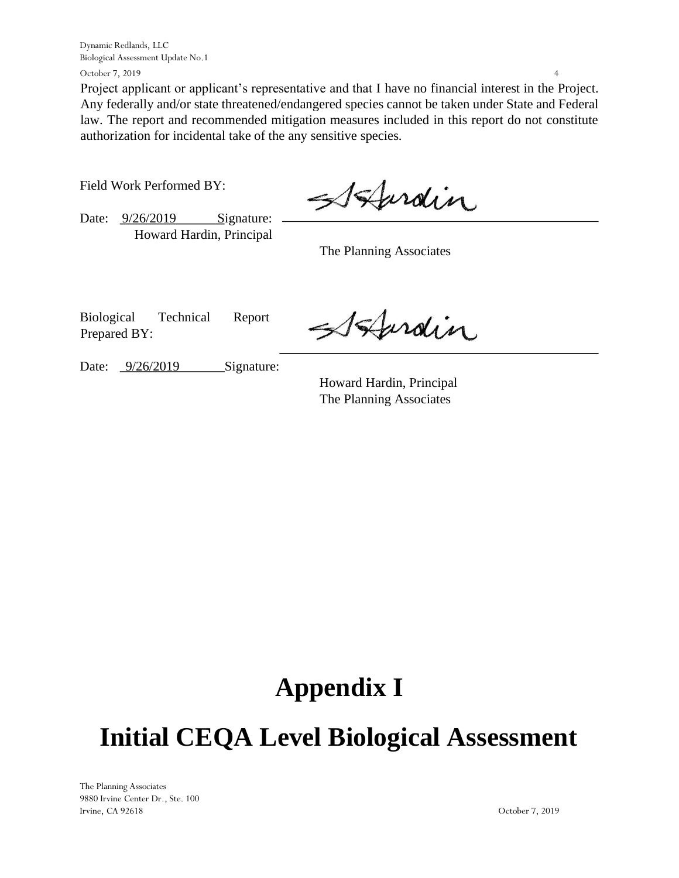Dynamic Redlands, LLC Biological Assessment Update No.1

October 7, 2019

Project applicant or applicant's representative and that I have no financial interest in the Project. Any federally and/or state threatened/endangered species cannot be taken under State and Federal law. The report and recommended mitigation measures included in this report do not constitute authorization for incidental take of the any sensitive species.

Field Work Performed BY:

Date:  $\frac{9/26}{2019}$  Signature: Howard Hardin, Principal

Burdin

The Planning Associates

Biological Technical Report Prepared BY:

Stardin

Date:  $\frac{9}{26}{2019}$  Signature:

Howard Hardin, Principal The Planning Associates

# **Appendix I**

# **Initial CEQA Level Biological Assessment**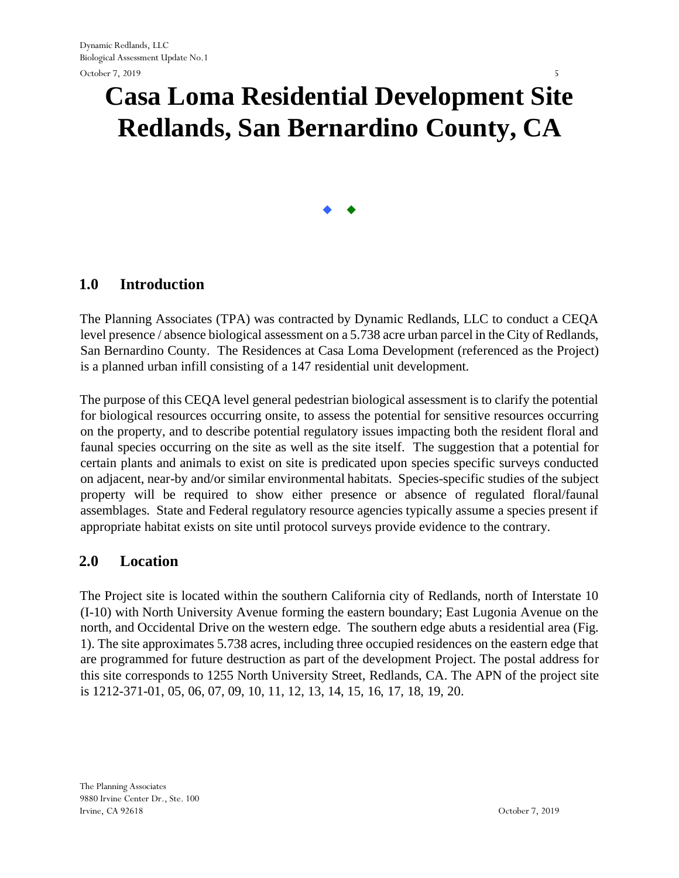# **Casa Loma Residential Development Site Redlands, San Bernardino County, CA**

 $\bullet$ 

## **1.0 Introduction**

The Planning Associates (TPA) was contracted by Dynamic Redlands, LLC to conduct a CEQA level presence / absence biological assessment on a 5.738 acre urban parcel in the City of Redlands, San Bernardino County. The Residences at Casa Loma Development (referenced as the Project) is a planned urban infill consisting of a 147 residential unit development.

The purpose of this CEQA level general pedestrian biological assessment is to clarify the potential for biological resources occurring onsite, to assess the potential for sensitive resources occurring on the property, and to describe potential regulatory issues impacting both the resident floral and faunal species occurring on the site as well as the site itself. The suggestion that a potential for certain plants and animals to exist on site is predicated upon species specific surveys conducted on adjacent, near-by and/or similar environmental habitats. Species-specific studies of the subject property will be required to show either presence or absence of regulated floral/faunal assemblages. State and Federal regulatory resource agencies typically assume a species present if appropriate habitat exists on site until protocol surveys provide evidence to the contrary.

#### **2.0 Location**

The Project site is located within the southern California city of Redlands, north of Interstate 10 (I-10) with North University Avenue forming the eastern boundary; East Lugonia Avenue on the north, and Occidental Drive on the western edge. The southern edge abuts a residential area (Fig. 1). The site approximates 5.738 acres, including three occupied residences on the eastern edge that are programmed for future destruction as part of the development Project. The postal address for this site corresponds to 1255 North University Street, Redlands, CA. The APN of the project site is 1212-371-01, 05, 06, 07, 09, 10, 11, 12, 13, 14, 15, 16, 17, 18, 19, 20.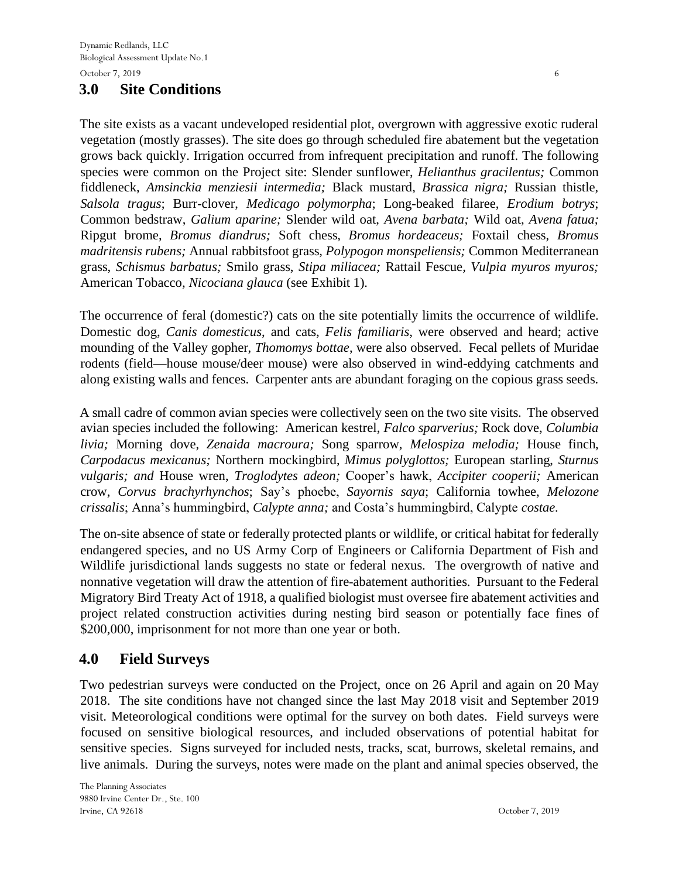## **3.0 Site Conditions**

The site exists as a vacant undeveloped residential plot, overgrown with aggressive exotic ruderal vegetation (mostly grasses). The site does go through scheduled fire abatement but the vegetation grows back quickly. Irrigation occurred from infrequent precipitation and runoff. The following species were common on the Project site: Slender sunflower, *Helianthus gracilentus;* Common fiddleneck, *Amsinckia menziesii intermedia;* Black mustard, *Brassica nigra;* Russian thistle, *Salsola tragus*; Burr-clover, *Medicago polymorpha*; Long-beaked filaree, *Erodium botrys*; Common bedstraw, *Galium aparine;* Slender wild oat, *Avena barbata;* Wild oat, *Avena fatua;*  Ripgut brome, *Bromus diandrus;* Soft chess, *Bromus hordeaceus;* Foxtail chess, *Bromus madritensis rubens;* Annual rabbitsfoot grass, *Polypogon monspeliensis;* Common Mediterranean grass, *Schismus barbatus;* Smilo grass, *Stipa miliacea;* Rattail Fescue*, Vulpia myuros myuros;*  American Tobacco*, Nicociana glauca* (see Exhibit 1)*.* 

The occurrence of feral (domestic?) cats on the site potentially limits the occurrence of wildlife. Domestic dog, *Canis domesticus*, and cats, *Felis familiaris*, were observed and heard; active mounding of the Valley gopher, *Thomomys bottae*, were also observed. Fecal pellets of Muridae rodents (field—house mouse/deer mouse) were also observed in wind-eddying catchments and along existing walls and fences. Carpenter ants are abundant foraging on the copious grass seeds.

A small cadre of common avian species were collectively seen on the two site visits. The observed avian species included the following: American kestrel, *Falco sparverius;* Rock dove, *Columbia livia;* Morning dove, *Zenaida macroura;* Song sparrow, *Melospiza melodia;* House finch, *Carpodacus mexicanus;* Northern mockingbird, *Mimus polyglottos;* European starling, *Sturnus vulgaris; and* House wren, *Troglodytes adeon;* Cooper's hawk, *Accipiter cooperii;* American crow, *Corvus brachyrhynchos*; Say's phoebe, *Sayornis saya*; California towhee, *Melozone crissalis*; Anna's hummingbird, *Calypte anna;* and Costa's hummingbird, Calypte *costae.*

The on-site absence of state or federally protected plants or wildlife, or critical habitat for federally endangered species, and no US Army Corp of Engineers or California Department of Fish and Wildlife jurisdictional lands suggests no state or federal nexus. The overgrowth of native and nonnative vegetation will draw the attention of fire-abatement authorities. Pursuant to the Federal Migratory Bird Treaty Act of 1918, a qualified biologist must oversee fire abatement activities and project related construction activities during nesting bird season or potentially face fines of \$200,000, imprisonment for not more than one year or both.

## **4.0 Field Surveys**

Two pedestrian surveys were conducted on the Project, once on 26 April and again on 20 May 2018. The site conditions have not changed since the last May 2018 visit and September 2019 visit. Meteorological conditions were optimal for the survey on both dates. Field surveys were focused on sensitive biological resources, and included observations of potential habitat for sensitive species. Signs surveyed for included nests, tracks, scat, burrows, skeletal remains, and live animals. During the surveys, notes were made on the plant and animal species observed, the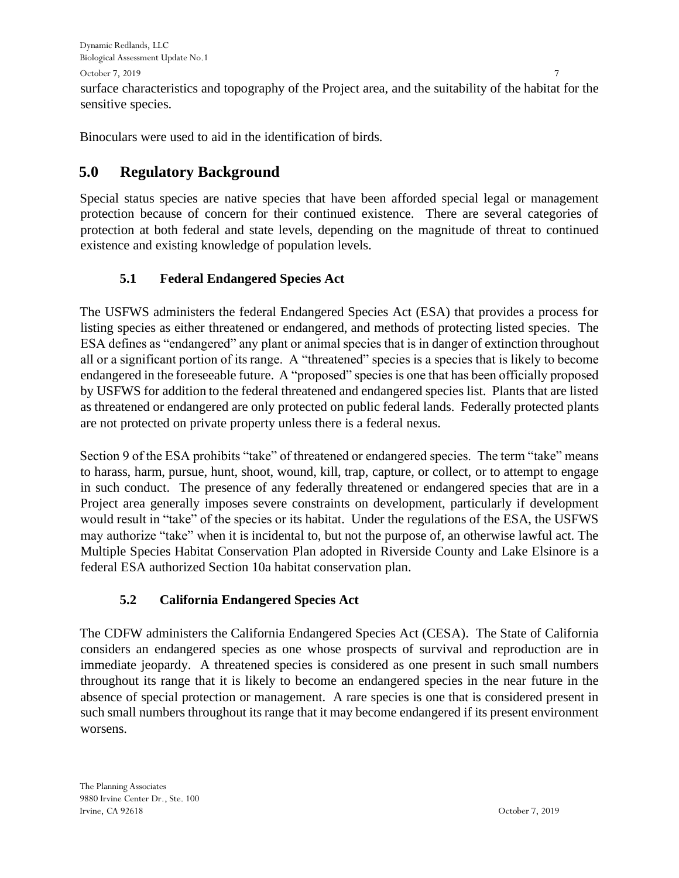October 7, 2019

surface characteristics and topography of the Project area, and the suitability of the habitat for the sensitive species.

Binoculars were used to aid in the identification of birds.

## **5.0 Regulatory Background**

Special status species are native species that have been afforded special legal or management protection because of concern for their continued existence. There are several categories of protection at both federal and state levels, depending on the magnitude of threat to continued existence and existing knowledge of population levels.

## **5.1 Federal Endangered Species Act**

The USFWS administers the federal Endangered Species Act (ESA) that provides a process for listing species as either threatened or endangered, and methods of protecting listed species. The ESA defines as "endangered" any plant or animal species that is in danger of extinction throughout all or a significant portion of its range. A "threatened" species is a species that is likely to become endangered in the foreseeable future. A "proposed" species is one that has been officially proposed by USFWS for addition to the federal threatened and endangered species list. Plants that are listed as threatened or endangered are only protected on public federal lands. Federally protected plants are not protected on private property unless there is a federal nexus.

Section 9 of the ESA prohibits "take" of threatened or endangered species. The term "take" means to harass, harm, pursue, hunt, shoot, wound, kill, trap, capture, or collect, or to attempt to engage in such conduct. The presence of any federally threatened or endangered species that are in a Project area generally imposes severe constraints on development, particularly if development would result in "take" of the species or its habitat. Under the regulations of the ESA, the USFWS may authorize "take" when it is incidental to, but not the purpose of, an otherwise lawful act. The Multiple Species Habitat Conservation Plan adopted in Riverside County and Lake Elsinore is a federal ESA authorized Section 10a habitat conservation plan.

## **5.2 California Endangered Species Act**

The CDFW administers the California Endangered Species Act (CESA). The State of California considers an endangered species as one whose prospects of survival and reproduction are in immediate jeopardy. A threatened species is considered as one present in such small numbers throughout its range that it is likely to become an endangered species in the near future in the absence of special protection or management. A rare species is one that is considered present in such small numbers throughout its range that it may become endangered if its present environment worsens.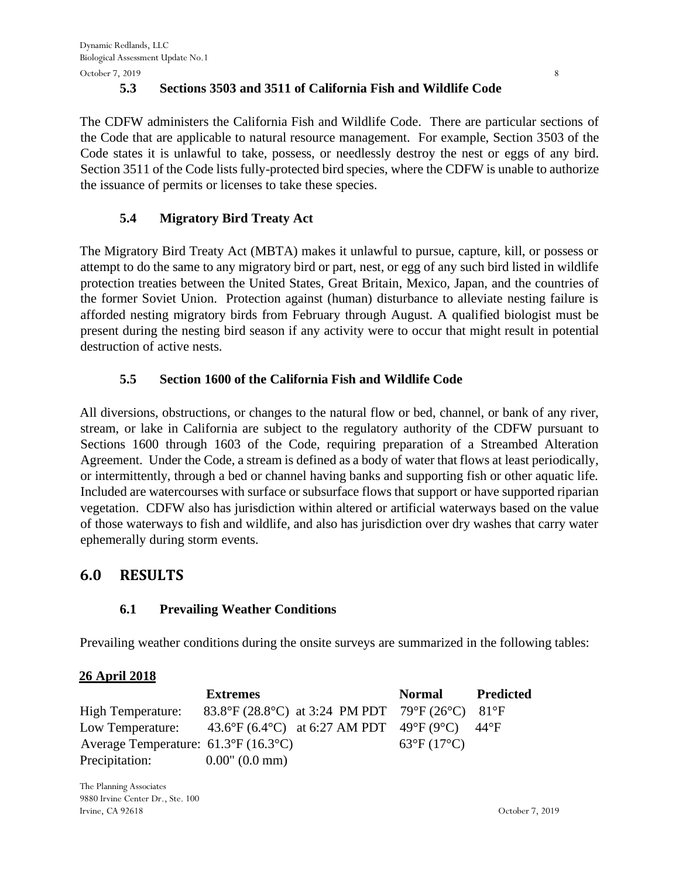October 7, 2019 8

## **5.3 Sections 3503 and 3511 of California Fish and Wildlife Code**

The CDFW administers the California Fish and Wildlife Code. There are particular sections of the Code that are applicable to natural resource management. For example, Section 3503 of the Code states it is unlawful to take, possess, or needlessly destroy the nest or eggs of any bird. Section 3511 of the Code lists fully-protected bird species, where the CDFW is unable to authorize the issuance of permits or licenses to take these species.

## **5.4 Migratory Bird Treaty Act**

The Migratory Bird Treaty Act (MBTA) makes it unlawful to pursue, capture, kill, or possess or attempt to do the same to any migratory bird or part, nest, or egg of any such bird listed in wildlife protection treaties between the United States, Great Britain, Mexico, Japan, and the countries of the former Soviet Union. Protection against (human) disturbance to alleviate nesting failure is afforded nesting migratory birds from February through August. A qualified biologist must be present during the nesting bird season if any activity were to occur that might result in potential destruction of active nests.

## **5.5 Section 1600 of the California Fish and Wildlife Code**

All diversions, obstructions, or changes to the natural flow or bed, channel, or bank of any river, stream, or lake in California are subject to the regulatory authority of the CDFW pursuant to Sections 1600 through 1603 of the Code, requiring preparation of a Streambed Alteration Agreement. Under the Code, a stream is defined as a body of water that flows at least periodically, or intermittently, through a bed or channel having banks and supporting fish or other aquatic life. Included are watercourses with surface or subsurface flows that support or have supported riparian vegetation. CDFW also has jurisdiction within altered or artificial waterways based on the value of those waterways to fish and wildlife, and also has jurisdiction over dry washes that carry water ephemerally during storm events.

## **6.0 RESULTS**

## **6.1 Prevailing Weather Conditions**

Prevailing weather conditions during the onsite surveys are summarized in the following tables:

## **26 April 2018**

|                                                     | <b>Extremes</b>                                                                | Normal                     | <b>Predicted</b> |
|-----------------------------------------------------|--------------------------------------------------------------------------------|----------------------------|------------------|
| High Temperature:                                   | 83.8°F (28.8°C) at 3:24 PM PDT 79°F (26°C) 81°F                                |                            |                  |
|                                                     | Low Temperature: $43.6^{\circ}F (6.4^{\circ}C)$ at 6:27 AM PDT 49°F (9°C) 44°F |                            |                  |
| Average Temperature: $61.3^{\circ}F(16.3^{\circ}C)$ |                                                                                | $63^{\circ}F(17^{\circ}C)$ |                  |
| Precipitation:                                      | $0.00$ " (0.0 mm)                                                              |                            |                  |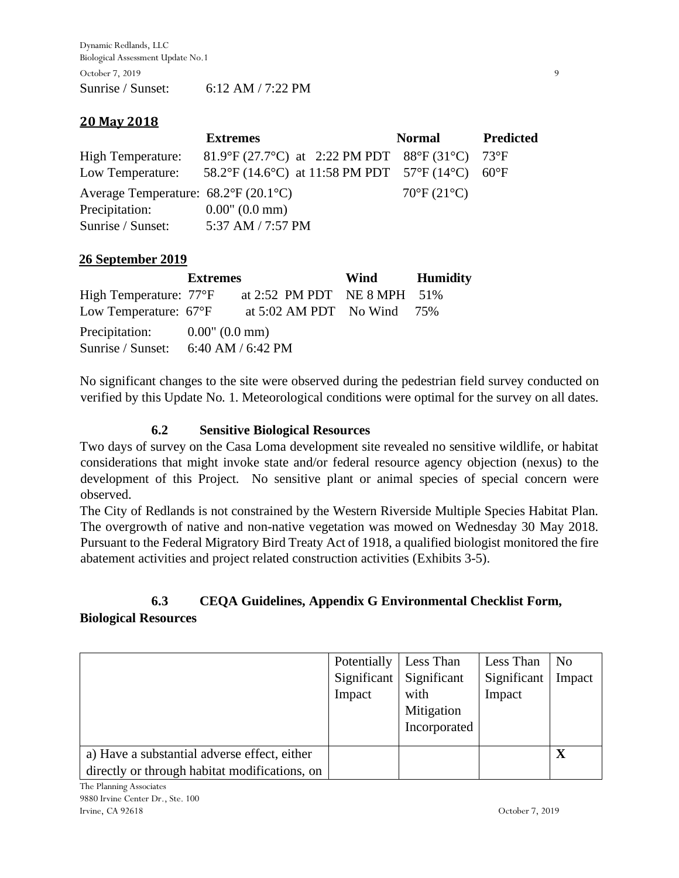Dynamic Redlands, LLC Biological Assessment Update No.1 October 7, 2019 9 Sunrise / Sunset: 6:12 AM / 7:22 PM

### **20 May 2018**

|                                                     | <b>Extremes</b>                                  | <b>Normal</b>              | <b>Predicted</b> |
|-----------------------------------------------------|--------------------------------------------------|----------------------------|------------------|
| <b>High Temperature:</b>                            | 81.9°F (27.7°C) at 2:22 PM PDT 88°F (31°C) 73°F  |                            |                  |
| Low Temperature:                                    | 58.2°F (14.6°C) at 11:58 PM PDT 57°F (14°C) 60°F |                            |                  |
| Average Temperature: $68.2^{\circ}F(20.1^{\circ}C)$ |                                                  | $70^{\circ}F(21^{\circ}C)$ |                  |
| Precipitation:                                      | $0.00$ " $(0.0 \text{ mm})$                      |                            |                  |
| Sunrise / Sunset:                                   | 5:37 AM / 7:57 PM                                |                            |                  |

#### **26 September 2019**

|                                                         | <b>Extremes</b> |                                | Wind | Humidity |
|---------------------------------------------------------|-----------------|--------------------------------|------|----------|
| High Temperature: 77°F                                  |                 | at 2:52 PM PDT NE 8 MPH 51%    |      |          |
| Low Temperature: $67^{\circ}F$                          |                 | at $5:02$ AM PDT No Wind $75%$ |      |          |
| Precipitation: $0.00$ " $(0.0 \text{ mm})$              |                 |                                |      |          |
| Sunrise / Sunset: $6:40 \text{ AM}$ / $6:42 \text{ PM}$ |                 |                                |      |          |

No significant changes to the site were observed during the pedestrian field survey conducted on verified by this Update No. 1. Meteorological conditions were optimal for the survey on all dates.

#### **6.2 Sensitive Biological Resources**

Two days of survey on the Casa Loma development site revealed no sensitive wildlife, or habitat considerations that might invoke state and/or federal resource agency objection (nexus) to the development of this Project. No sensitive plant or animal species of special concern were observed.

The City of Redlands is not constrained by the Western Riverside Multiple Species Habitat Plan. The overgrowth of native and non-native vegetation was mowed on Wednesday 30 May 2018. Pursuant to the Federal Migratory Bird Treaty Act of 1918, a qualified biologist monitored the fire abatement activities and project related construction activities (Exhibits 3-5).

## **6.3 CEQA Guidelines, Appendix G Environmental Checklist Form,**

**Biological Resources**

| Potentially | Less Than    | Less Than   | N <sub>o</sub> |
|-------------|--------------|-------------|----------------|
| Significant | Significant  | Significant | Impact         |
| Impact      | with         | Impact      |                |
|             | Mitigation   |             |                |
|             | Incorporated |             |                |
|             |              |             | X              |
|             |              |             |                |
|             |              |             |                |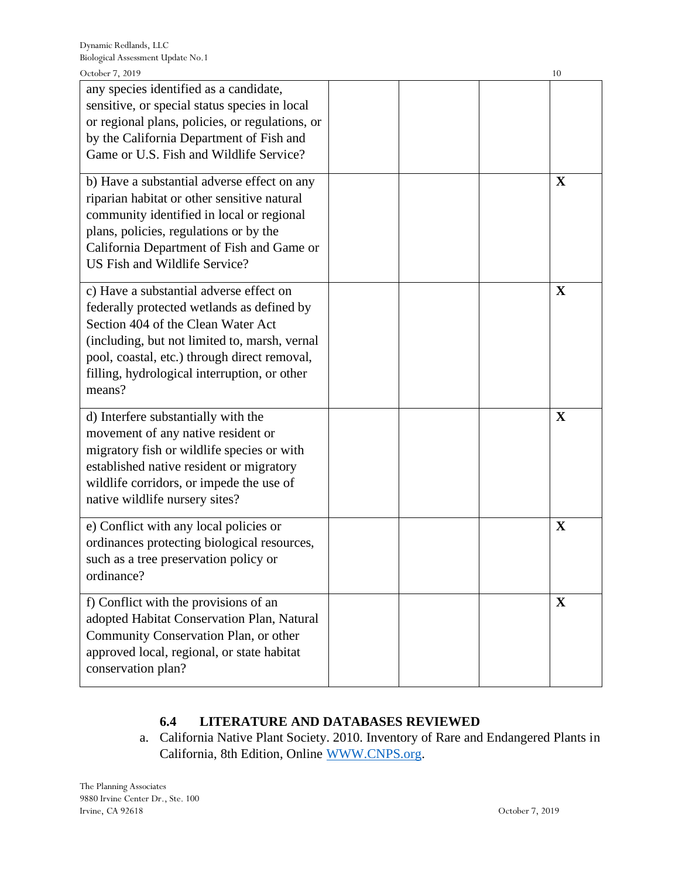| October 7, 2019                                                                                                                                                                                                                                                                        |  | 10          |
|----------------------------------------------------------------------------------------------------------------------------------------------------------------------------------------------------------------------------------------------------------------------------------------|--|-------------|
| any species identified as a candidate,<br>sensitive, or special status species in local<br>or regional plans, policies, or regulations, or<br>by the California Department of Fish and<br>Game or U.S. Fish and Wildlife Service?                                                      |  |             |
| b) Have a substantial adverse effect on any<br>riparian habitat or other sensitive natural<br>community identified in local or regional<br>plans, policies, regulations or by the<br>California Department of Fish and Game or<br>US Fish and Wildlife Service?                        |  | X           |
| c) Have a substantial adverse effect on<br>federally protected wetlands as defined by<br>Section 404 of the Clean Water Act<br>(including, but not limited to, marsh, vernal<br>pool, coastal, etc.) through direct removal,<br>filling, hydrological interruption, or other<br>means? |  | X           |
| d) Interfere substantially with the<br>movement of any native resident or<br>migratory fish or wildlife species or with<br>established native resident or migratory<br>wildlife corridors, or impede the use of<br>native wildlife nursery sites?                                      |  | X           |
| e) Conflict with any local policies or<br>ordinances protecting biological resources,<br>such as a tree preservation policy or<br>ordinance?                                                                                                                                           |  | X           |
| f) Conflict with the provisions of an<br>adopted Habitat Conservation Plan, Natural<br>Community Conservation Plan, or other<br>approved local, regional, or state habitat<br>conservation plan?                                                                                       |  | $\mathbf X$ |

## **6.4 LITERATURE AND DATABASES REVIEWED**

a. California Native Plant Society. 2010. Inventory of Rare and Endangered Plants in California, 8th Edition, Online [WWW.CNPS.org.](http://www.cnps.org/)